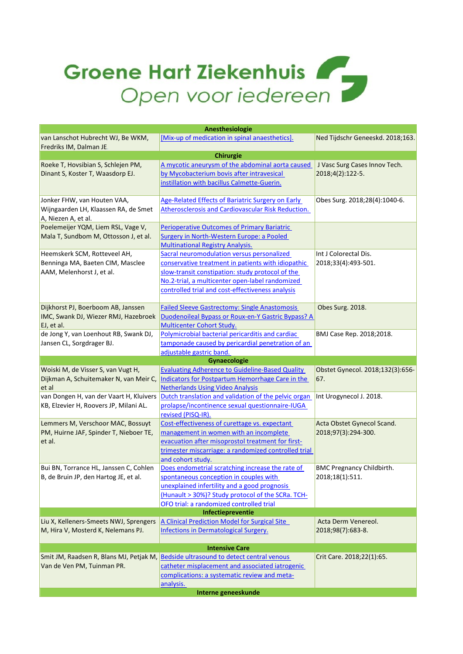## Groene Hart Ziekenhuis

| Anesthesiologie                                                              |                                                                                               |                                         |  |  |
|------------------------------------------------------------------------------|-----------------------------------------------------------------------------------------------|-----------------------------------------|--|--|
| van Lanschot Hubrecht WJ, Be WKM,                                            | [Mix-up of medication in spinal anaesthetics].                                                | Ned Tijdschr Geneeskd. 2018;163.        |  |  |
| Fredriks IM, Dalman JE                                                       |                                                                                               |                                         |  |  |
|                                                                              | Chirurgie                                                                                     |                                         |  |  |
| Roeke T, Hovsibian S, Schlejen PM,                                           | A mycotic aneurysm of the abdominal aorta caused                                              | J Vasc Surg Cases Innov Tech.           |  |  |
| Dinant S, Koster T, Waasdorp EJ.                                             | by Mycobacterium bovis after intravesical                                                     | 2018;4(2):122-5.                        |  |  |
|                                                                              | instillation with bacillus Calmette-Guerin.                                                   |                                         |  |  |
|                                                                              |                                                                                               |                                         |  |  |
| Jonker FHW, van Houten VAA,                                                  | Age-Related Effects of Bariatric Surgery on Early                                             | Obes Surg. 2018;28(4):1040-6.           |  |  |
| Wijngaarden LH, Klaassen RA, de Smet                                         | Atherosclerosis and Cardiovascular Risk Reduction.                                            |                                         |  |  |
| A, Niezen A, et al.                                                          |                                                                                               |                                         |  |  |
| Poelemeijer YQM, Liem RSL, Vage V,                                           | <b>Perioperative Outcomes of Primary Bariatric</b>                                            |                                         |  |  |
| Mala T, Sundbom M, Ottosson J, et al.                                        | Surgery in North-Western Europe: a Pooled                                                     |                                         |  |  |
|                                                                              | <b>Multinational Registry Analysis.</b>                                                       |                                         |  |  |
| Heemskerk SCM, Rotteveel AH,                                                 | Sacral neuromodulation versus personalized                                                    | Int J Colorectal Dis.                   |  |  |
| Benninga MA, Baeten CIM, Masclee                                             | conservative treatment in patients with idiopathic                                            | 2018;33(4):493-501.                     |  |  |
| AAM, Melenhorst J, et al.                                                    | slow-transit constipation: study protocol of the                                              |                                         |  |  |
|                                                                              | No.2-trial, a multicenter open-label randomized                                               |                                         |  |  |
|                                                                              | controlled trial and cost-effectiveness analysis                                              |                                         |  |  |
|                                                                              |                                                                                               |                                         |  |  |
| Dijkhorst PJ, Boerboom AB, Janssen                                           | <b>Failed Sleeve Gastrectomy: Single Anastomosis</b>                                          | Obes Surg. 2018.                        |  |  |
| IMC, Swank DJ, Wiezer RMJ, Hazebroek                                         | <b>Duodenoileal Bypass or Roux-en-Y Gastric Bypass? A</b>                                     |                                         |  |  |
| EJ, et al.                                                                   | <b>Multicenter Cohort Study.</b>                                                              |                                         |  |  |
| de Jong Y, van Loenhout RB, Swank DJ,                                        | Polymicrobial bacterial pericarditis and cardiac                                              | BMJ Case Rep. 2018;2018.                |  |  |
| Jansen CL, Sorgdrager BJ.                                                    | tamponade caused by pericardial penetration of an                                             |                                         |  |  |
|                                                                              | adjustable gastric band.                                                                      |                                         |  |  |
|                                                                              | Gynaecologie                                                                                  |                                         |  |  |
|                                                                              |                                                                                               |                                         |  |  |
|                                                                              |                                                                                               |                                         |  |  |
| Woiski M, de Visser S, van Vugt H,                                           | <b>Evaluating Adherence to Guideline-Based Quality</b>                                        | Obstet Gynecol. 2018;132(3):656-<br>67. |  |  |
| Dijkman A, Schuitemaker N, van Meir C,                                       | Indicators for Postpartum Hemorrhage Care in the                                              |                                         |  |  |
| et al                                                                        | <b>Netherlands Using Video Analysis</b>                                                       |                                         |  |  |
| van Dongen H, van der Vaart H, Kluivers                                      | Dutch translation and validation of the pelvic organ                                          | Int Urogynecol J. 2018.                 |  |  |
| KB, Elzevier H, Roovers JP, Milani AL.                                       | prolapse/incontinence sexual questionnaire-IUGA                                               |                                         |  |  |
|                                                                              | revised (PISQ-IR).                                                                            |                                         |  |  |
| Lemmers M, Verschoor MAC, Bossuyt                                            | Cost-effectiveness of curettage vs. expectant                                                 | Acta Obstet Gynecol Scand.              |  |  |
| PM, Huirne JAF, Spinder T, Nieboer TE,                                       | management in women with an incomplete                                                        | 2018;97(3):294-300.                     |  |  |
| et al.                                                                       | evacuation after misoprostol treatment for first-                                             |                                         |  |  |
|                                                                              | trimester miscarriage: a randomized controlled trial                                          |                                         |  |  |
|                                                                              | and cohort study.                                                                             |                                         |  |  |
| Bui BN, Torrance HL, Janssen C, Cohlen                                       | Does endometrial scratching increase the rate of                                              | <b>BMC Pregnancy Childbirth.</b>        |  |  |
| B, de Bruin JP, den Hartog JE, et al.                                        | spontaneous conception in couples with                                                        | 2018;18(1):511.                         |  |  |
|                                                                              | unexplained infertility and a good prognosis                                                  |                                         |  |  |
|                                                                              | (Hunault > 30%)? Study protocol of the SCRa. TCH-                                             |                                         |  |  |
|                                                                              | OFO trial: a randomized controlled trial<br>Infectiepreventie                                 |                                         |  |  |
|                                                                              |                                                                                               | Acta Derm Venereol.                     |  |  |
| Liu X, Kelleners-Smeets NWJ, Sprengers<br>M, Hira V, Mosterd K, Nelemans PJ. | A Clinical Prediction Model for Surgical Site<br><b>Infections in Dermatological Surgery.</b> |                                         |  |  |
|                                                                              |                                                                                               | 2018;98(7):683-8.                       |  |  |
|                                                                              | <b>Intensive Care</b>                                                                         |                                         |  |  |
| Smit JM, Raadsen R, Blans MJ, Petjak M,                                      | <b>Bedside ultrasound to detect central venous</b>                                            | Crit Care. 2018;22(1):65.               |  |  |
|                                                                              |                                                                                               |                                         |  |  |
| Van de Ven PM, Tuinman PR.                                                   | catheter misplacement and associated iatrogenic                                               |                                         |  |  |
|                                                                              | complications: a systematic review and meta-<br>analysis.                                     |                                         |  |  |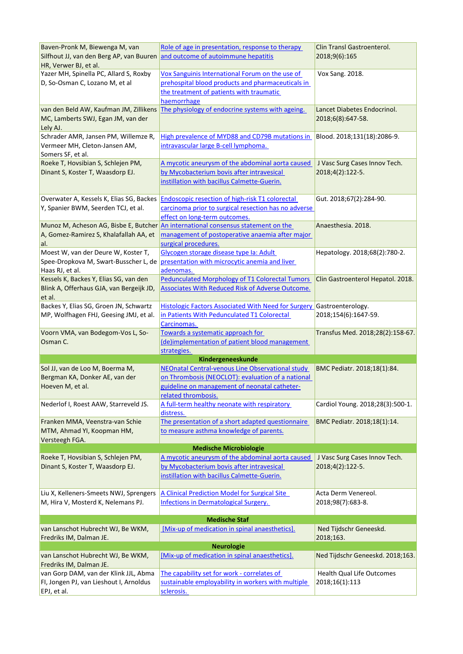| Baven-Pronk M, Biewenga M, van<br>Silfhout JJ, van den Berg AP, van Buuren<br>HR, Verwer BJ, et al. | Role of age in presentation, response to therapy<br>and outcome of autoimmune hepatitis                                                                                       | Clin Transl Gastroenterol.<br>2018;9(6):165       |
|-----------------------------------------------------------------------------------------------------|-------------------------------------------------------------------------------------------------------------------------------------------------------------------------------|---------------------------------------------------|
| Yazer MH, Spinella PC, Allard S, Roxby                                                              | Vox Sanguinis International Forum on the use of                                                                                                                               | Vox Sang. 2018.                                   |
| D, So-Osman C, Lozano M, et al                                                                      | prehospital blood products and pharmaceuticals in<br>the treatment of patients with traumatic<br>haemorrhage                                                                  |                                                   |
| van den Beld AW, Kaufman JM, Zillikens<br>MC, Lamberts SWJ, Egan JM, van der<br>Lely AJ.            | The physiology of endocrine systems with ageing.                                                                                                                              | Lancet Diabetes Endocrinol.<br>2018;6(8):647-58.  |
| Schrader AMR, Jansen PM, Willemze R,<br>Vermeer MH, Cleton-Jansen AM,<br>Somers SF, et al.          | High prevalence of MYD88 and CD79B mutations in<br>intravascular large B-cell lymphoma.                                                                                       | Blood. 2018;131(18):2086-9.                       |
| Roeke T, Hovsibian S, Schlejen PM,<br>Dinant S, Koster T, Waasdorp EJ.                              | A mycotic aneurysm of the abdominal aorta caused<br>by Mycobacterium bovis after intravesical<br>instillation with bacillus Calmette-Guerin.                                  | J Vasc Surg Cases Innov Tech.<br>2018;4(2):122-5. |
| Overwater A, Kessels K, Elias SG, Backes<br>Y, Spanier BWM, Seerden TCJ, et al.                     | <b>Endoscopic resection of high-risk T1 colorectal</b><br>carcinoma prior to surgical resection has no adverse<br>effect on long-term outcomes.                               | Gut. 2018;67(2):284-90.                           |
| A, Gomez-Ramirez S, Khalafallah AA, et<br>al.                                                       | Munoz M, Acheson AG, Bisbe E, Butcher An international consensus statement on the<br>management of postoperative anaemia after major<br>surgical procedures.                  | Anaesthesia. 2018.                                |
| Moest W, van der Deure W, Koster T,<br>Haas RJ, et al.                                              | Glycogen storage disease type Ia: Adult<br>Spee-Dropkova M, Swart-Busscher L, de presentation with microcytic anemia and liver<br>adenomas.                                   | Hepatology. 2018;68(2):780-2.                     |
| Kessels K, Backes Y, Elias SG, van den<br>Blink A, Offerhaus GJA, van Bergeijk JD,<br>et al.        | <b>Pedunculated Morphology of T1 Colorectal Tumors</b><br>Associates With Reduced Risk of Adverse Outcome.                                                                    | Clin Gastroenterol Hepatol. 2018.                 |
| Backes Y, Elias SG, Groen JN, Schwartz<br>MP, Wolfhagen FHJ, Geesing JMJ, et al.                    | <b>Histologic Factors Associated With Need for Surgery Gastroenterology.</b><br>in Patients With Pedunculated T1 Colorectal<br>Carcinomas.                                    | 2018;154(6):1647-59.                              |
| Voorn VMA, van Bodegom-Vos L, So-<br>Osman C.                                                       | Towards a systematic approach for<br>(de)implementation of patient blood management<br>strategies.                                                                            | Transfus Med. 2018;28(2):158-67.                  |
|                                                                                                     | Kindergeneeskunde                                                                                                                                                             |                                                   |
| Sol JJ, van de Loo M, Boerma M,<br>Bergman KA, Donker AE, van der<br>Hoeven M, et al.               | NEOnatal Central-venous Line Observational study<br>on Thrombosis (NEOCLOT): evaluation of a national<br>guideline on management of neonatal catheter-<br>related thrombosis. | BMC Pediatr. 2018;18(1):84.                       |
| Nederlof I, Roest AAW, Starreveld JS.                                                               | A full-term healthy neonate with respiratory<br>distress.                                                                                                                     | Cardiol Young. 2018;28(3):500-1.                  |
| Franken MMA, Veenstra-van Schie<br>MTM, Ahmad YI, Koopman HM,<br>Versteegh FGA.                     | The presentation of a short adapted questionnaire<br>to measure asthma knowledge of parents.                                                                                  | BMC Pediatr. 2018;18(1):14.                       |
|                                                                                                     | <b>Medische Microbiologie</b>                                                                                                                                                 |                                                   |
| Roeke T, Hovsibian S, Schlejen PM,<br>Dinant S, Koster T, Waasdorp EJ.                              | A mycotic aneurysm of the abdominal aorta caused<br>by Mycobacterium bovis after intravesical<br>instillation with bacillus Calmette-Guerin.                                  | J Vasc Surg Cases Innov Tech.<br>2018;4(2):122-5. |
| Liu X, Kelleners-Smeets NWJ, Sprengers<br>M, Hira V, Mosterd K, Nelemans PJ.                        | A Clinical Prediction Model for Surgical Site<br><b>Infections in Dermatological Surgery.</b>                                                                                 | Acta Derm Venereol.<br>2018;98(7):683-8.          |
|                                                                                                     | <b>Medische Staf</b>                                                                                                                                                          |                                                   |
| van Lanschot Hubrecht WJ, Be WKM,<br>Fredriks IM, Dalman JE.                                        | [Mix-up of medication in spinal anaesthetics].                                                                                                                                | Ned Tijdschr Geneeskd.<br>2018;163.               |
|                                                                                                     | <b>Neurologie</b>                                                                                                                                                             |                                                   |
| van Lanschot Hubrecht WJ, Be WKM,<br>Fredriks IM, Dalman JE.                                        | [Mix-up of medication in spinal anaesthetics].                                                                                                                                | Ned Tijdschr Geneeskd. 2018;163.                  |
| van Gorp DAM, van der Klink JJL, Abma<br>FI, Jongen PJ, van Lieshout I, Arnoldus<br>EPJ, et al.     | The capability set for work - correlates of<br>sustainable employability in workers with multiple<br>sclerosis.                                                               | Health Qual Life Outcomes<br>2018;16(1):113       |